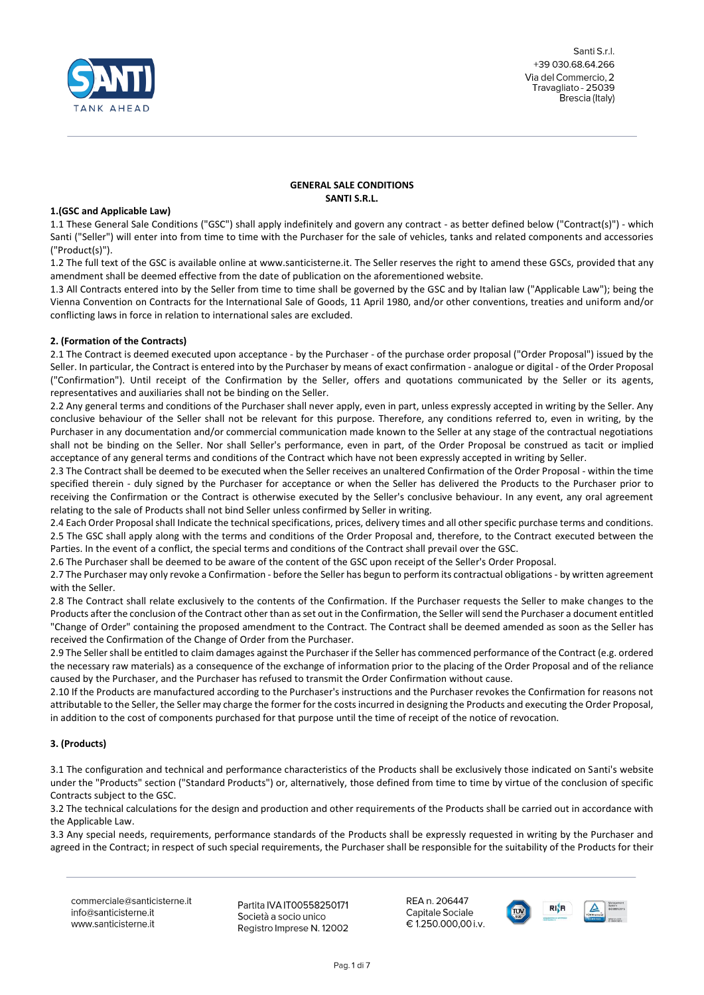

Santi Srl +39 030.68.64.266 Via del Commercio, 2 Travagliato - 25039 Brescia (Italy)

# **GENERAL SALE CONDITIONS SANTI S.R.L.**

### **1.(GSC and Applicable Law)**

1.1 These General Sale Conditions ("GSC") shall apply indefinitely and govern any contract - as better defined below ("Contract(s)") - which Santi ("Seller") will enter into from time to time with the Purchaser for the sale of vehicles, tanks and related components and accessories ("Product(s)").

1.2 The full text of the GSC is available online at www.santicisterne.it. The Seller reserves the right to amend these GSCs, provided that any amendment shall be deemed effective from the date of publication on the aforementioned website.

1.3 All Contracts entered into by the Seller from time to time shall be governed by the GSC and by Italian law ("Applicable Law"); being the Vienna Convention on Contracts for the International Sale of Goods, 11 April 1980, and/or other conventions, treaties and uniform and/or conflicting laws in force in relation to international sales are excluded.

# **2. (Formation of the Contracts)**

2.1 The Contract is deemed executed upon acceptance - by the Purchaser - of the purchase order proposal ("Order Proposal") issued by the Seller. In particular, the Contract is entered into by the Purchaser by means of exact confirmation - analogue or digital - of the Order Proposal ("Confirmation"). Until receipt of the Confirmation by the Seller, offers and quotations communicated by the Seller or its agents, representatives and auxiliaries shall not be binding on the Seller.

2.2 Any general terms and conditions of the Purchaser shall never apply, even in part, unless expressly accepted in writing by the Seller. Any conclusive behaviour of the Seller shall not be relevant for this purpose. Therefore, any conditions referred to, even in writing, by the Purchaser in any documentation and/or commercial communication made known to the Seller at any stage of the contractual negotiations shall not be binding on the Seller. Nor shall Seller's performance, even in part, of the Order Proposal be construed as tacit or implied acceptance of any general terms and conditions of the Contract which have not been expressly accepted in writing by Seller.

2.3 The Contract shall be deemed to be executed when the Seller receives an unaltered Confirmation of the Order Proposal - within the time specified therein - duly signed by the Purchaser for acceptance or when the Seller has delivered the Products to the Purchaser prior to receiving the Confirmation or the Contract is otherwise executed by the Seller's conclusive behaviour. In any event, any oral agreement relating to the sale of Products shall not bind Seller unless confirmed by Seller in writing.

2.4 Each Order Proposal shall Indicate the technical specifications, prices, delivery times and all other specific purchase terms and conditions. 2.5 The GSC shall apply along with the terms and conditions of the Order Proposal and, therefore, to the Contract executed between the Parties. In the event of a conflict, the special terms and conditions of the Contract shall prevail over the GSC.

2.6 The Purchaser shall be deemed to be aware of the content of the GSC upon receipt of the Seller's Order Proposal.

2.7 The Purchaser may only revoke a Confirmation - before the Seller has begun to perform its contractual obligations - by written agreement with the Seller.

2.8 The Contract shall relate exclusively to the contents of the Confirmation. If the Purchaser requests the Seller to make changes to the Products after the conclusion of the Contract other than as set out in the Confirmation, the Seller will send the Purchaser a document entitled "Change of Order" containing the proposed amendment to the Contract. The Contract shall be deemed amended as soon as the Seller has received the Confirmation of the Change of Order from the Purchaser.

2.9 The Seller shall be entitled to claim damages against the Purchaser if the Seller has commenced performance of the Contract (e.g. ordered the necessary raw materials) as a consequence of the exchange of information prior to the placing of the Order Proposal and of the reliance caused by the Purchaser, and the Purchaser has refused to transmit the Order Confirmation without cause.

2.10 If the Products are manufactured according to the Purchaser's instructions and the Purchaser revokes the Confirmation for reasons not attributable to the Seller, the Seller may charge the former for the costs incurred in designing the Products and executing the Order Proposal, in addition to the cost of components purchased for that purpose until the time of receipt of the notice of revocation.

# **3. (Products)**

3.1 The configuration and technical and performance characteristics of the Products shall be exclusively those indicated on Santi's website under the "Products" section ("Standard Products") or, alternatively, those defined from time to time by virtue of the conclusion of specific Contracts subject to the GSC.

3.2 The technical calculations for the design and production and other requirements of the Products shall be carried out in accordance with the Applicable Law.

3.3 Any special needs, requirements, performance standards of the Products shall be expressly requested in writing by the Purchaser and agreed in the Contract; in respect of such special requirements, the Purchaser shall be responsible for the suitability of the Products for their

commerciale@santicisterne.it info@santicisterne.it www.santicisterne.it

Partita IVA IT00558250171 Società a socio unico Registro Imprese N. 12002

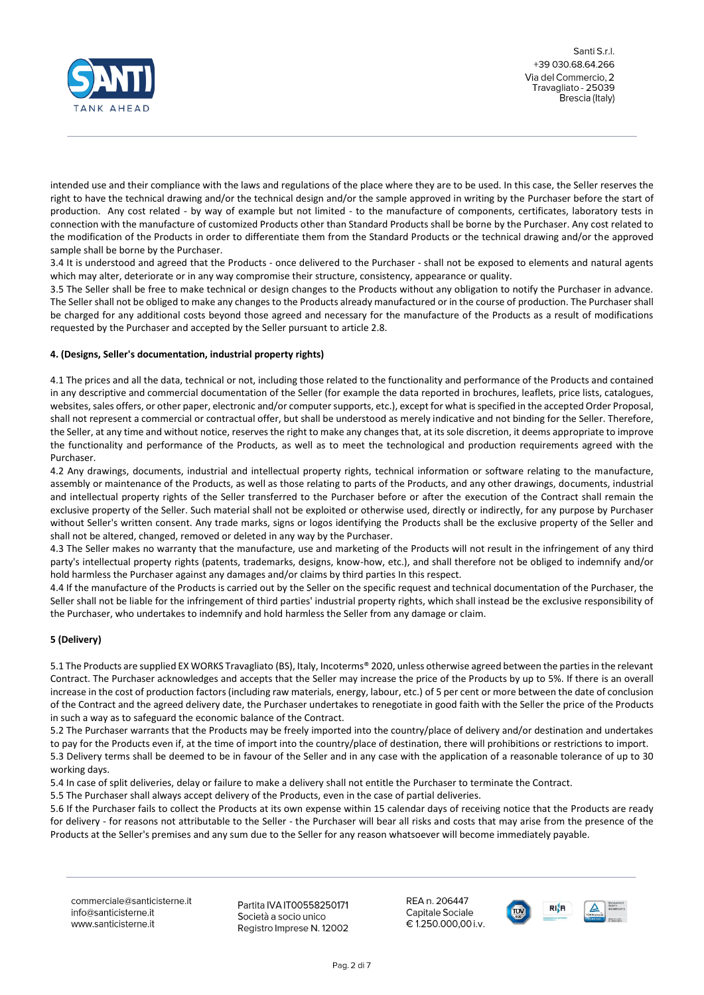

intended use and their compliance with the laws and regulations of the place where they are to be used. In this case, the Seller reserves the right to have the technical drawing and/or the technical design and/or the sample approved in writing by the Purchaser before the start of production. Any cost related - by way of example but not limited - to the manufacture of components, certificates, laboratory tests in connection with the manufacture of customized Products other than Standard Products shall be borne by the Purchaser. Any cost related to the modification of the Products in order to differentiate them from the Standard Products or the technical drawing and/or the approved sample shall be borne by the Purchaser.

3.4 It is understood and agreed that the Products - once delivered to the Purchaser - shall not be exposed to elements and natural agents which may alter, deteriorate or in any way compromise their structure, consistency, appearance or quality.

3.5 The Seller shall be free to make technical or design changes to the Products without any obligation to notify the Purchaser in advance. The Seller shall not be obliged to make any changes to the Products already manufactured or in the course of production. The Purchaser shall be charged for any additional costs beyond those agreed and necessary for the manufacture of the Products as a result of modifications requested by the Purchaser and accepted by the Seller pursuant to article 2.8.

# **4. (Designs, Seller's documentation, industrial property rights)**

4.1 The prices and all the data, technical or not, including those related to the functionality and performance of the Products and contained in any descriptive and commercial documentation of the Seller (for example the data reported in brochures, leaflets, price lists, catalogues, websites, sales offers, or other paper, electronic and/or computer supports, etc.), except for what is specified in the accepted Order Proposal, shall not represent a commercial or contractual offer, but shall be understood as merely indicative and not binding for the Seller. Therefore, the Seller, at any time and without notice, reserves the right to make any changes that, at its sole discretion, it deems appropriate to improve the functionality and performance of the Products, as well as to meet the technological and production requirements agreed with the Purchaser.

4.2 Any drawings, documents, industrial and intellectual property rights, technical information or software relating to the manufacture, assembly or maintenance of the Products, as well as those relating to parts of the Products, and any other drawings, documents, industrial and intellectual property rights of the Seller transferred to the Purchaser before or after the execution of the Contract shall remain the exclusive property of the Seller. Such material shall not be exploited or otherwise used, directly or indirectly, for any purpose by Purchaser without Seller's written consent. Any trade marks, signs or logos identifying the Products shall be the exclusive property of the Seller and shall not be altered, changed, removed or deleted in any way by the Purchaser.

4.3 The Seller makes no warranty that the manufacture, use and marketing of the Products will not result in the infringement of any third party's intellectual property rights (patents, trademarks, designs, know-how, etc.), and shall therefore not be obliged to indemnify and/or hold harmless the Purchaser against any damages and/or claims by third parties In this respect.

4.4 If the manufacture of the Products is carried out by the Seller on the specific request and technical documentation of the Purchaser, the Seller shall not be liable for the infringement of third parties' industrial property rights, which shall instead be the exclusive responsibility of the Purchaser, who undertakes to indemnify and hold harmless the Seller from any damage or claim.

# **5 (Delivery)**

5.1 The Products are supplied EX WORKS Travagliato (BS), Italy, Incoterms® 2020, unless otherwise agreed between the parties in the relevant Contract. The Purchaser acknowledges and accepts that the Seller may increase the price of the Products by up to 5%. If there is an overall increase in the cost of production factors (including raw materials, energy, labour, etc.) of 5 per cent or more between the date of conclusion of the Contract and the agreed delivery date, the Purchaser undertakes to renegotiate in good faith with the Seller the price of the Products in such a way as to safeguard the economic balance of the Contract.

5.2 The Purchaser warrants that the Products may be freely imported into the country/place of delivery and/or destination and undertakes to pay for the Products even if, at the time of import into the country/place of destination, there will prohibitions or restrictions to import. 5.3 Delivery terms shall be deemed to be in favour of the Seller and in any case with the application of a reasonable tolerance of up to 30 working days.

5.4 In case of split deliveries, delay or failure to make a delivery shall not entitle the Purchaser to terminate the Contract.

5.5 The Purchaser shall always accept delivery of the Products, even in the case of partial deliveries.

5.6 If the Purchaser fails to collect the Products at its own expense within 15 calendar days of receiving notice that the Products are ready for delivery - for reasons not attributable to the Seller - the Purchaser will bear all risks and costs that may arise from the presence of the Products at the Seller's premises and any sum due to the Seller for any reason whatsoever will become immediately payable.

commerciale@santicisterne.it info@santicisterne.it www.santicisterne.it

Partita IVA IT00558250171 Società a socio unico Registro Imprese N. 12002

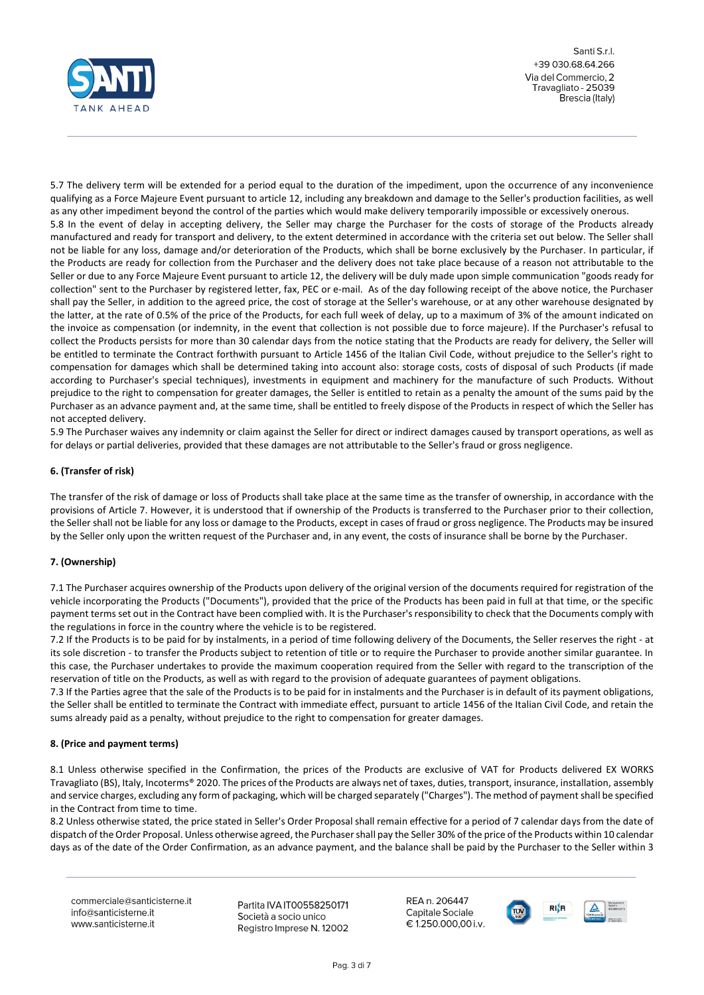

5.7 The delivery term will be extended for a period equal to the duration of the impediment, upon the occurrence of any inconvenience qualifying as a Force Majeure Event pursuant to article 12, including any breakdown and damage to the Seller's production facilities, as well as any other impediment beyond the control of the parties which would make delivery temporarily impossible or excessively onerous. 5.8 In the event of delay in accepting delivery, the Seller may charge the Purchaser for the costs of storage of the Products already manufactured and ready for transport and delivery, to the extent determined in accordance with the criteria set out below. The Seller shall not be liable for any loss, damage and/or deterioration of the Products, which shall be borne exclusively by the Purchaser. In particular, if the Products are ready for collection from the Purchaser and the delivery does not take place because of a reason not attributable to the Seller or due to any Force Majeure Event pursuant to article 12, the delivery will be duly made upon simple communication "goods ready for collection" sent to the Purchaser by registered letter, fax, PEC or e-mail. As of the day following receipt of the above notice, the Purchaser shall pay the Seller, in addition to the agreed price, the cost of storage at the Seller's warehouse, or at any other warehouse designated by the latter, at the rate of 0.5% of the price of the Products, for each full week of delay, up to a maximum of 3% of the amount indicated on the invoice as compensation (or indemnity, in the event that collection is not possible due to force majeure). If the Purchaser's refusal to collect the Products persists for more than 30 calendar days from the notice stating that the Products are ready for delivery, the Seller will be entitled to terminate the Contract forthwith pursuant to Article 1456 of the Italian Civil Code, without prejudice to the Seller's right to compensation for damages which shall be determined taking into account also: storage costs, costs of disposal of such Products (if made according to Purchaser's special techniques), investments in equipment and machinery for the manufacture of such Products. Without prejudice to the right to compensation for greater damages, the Seller is entitled to retain as a penalty the amount of the sums paid by the Purchaser as an advance payment and, at the same time, shall be entitled to freely dispose of the Products in respect of which the Seller has not accepted delivery.

5.9 The Purchaser waives any indemnity or claim against the Seller for direct or indirect damages caused by transport operations, as well as for delays or partial deliveries, provided that these damages are not attributable to the Seller's fraud or gross negligence.

# **6. (Transfer of risk)**

The transfer of the risk of damage or loss of Products shall take place at the same time as the transfer of ownership, in accordance with the provisions of Article 7. However, it is understood that if ownership of the Products is transferred to the Purchaser prior to their collection, the Seller shall not be liable for any loss or damage to the Products, except in cases of fraud or gross negligence. The Products may be insured by the Seller only upon the written request of the Purchaser and, in any event, the costs of insurance shall be borne by the Purchaser.

# **7. (Ownership)**

7.1 The Purchaser acquires ownership of the Products upon delivery of the original version of the documents required for registration of the vehicle incorporating the Products ("Documents"), provided that the price of the Products has been paid in full at that time, or the specific payment terms set out in the Contract have been complied with. It is the Purchaser's responsibility to check that the Documents comply with the regulations in force in the country where the vehicle is to be registered.

7.2 If the Products is to be paid for by instalments, in a period of time following delivery of the Documents, the Seller reserves the right - at its sole discretion - to transfer the Products subject to retention of title or to require the Purchaser to provide another similar guarantee. In this case, the Purchaser undertakes to provide the maximum cooperation required from the Seller with regard to the transcription of the reservation of title on the Products, as well as with regard to the provision of adequate guarantees of payment obligations.

7.3 If the Parties agree that the sale of the Products is to be paid for in instalments and the Purchaser is in default of its payment obligations, the Seller shall be entitled to terminate the Contract with immediate effect, pursuant to article 1456 of the Italian Civil Code, and retain the sums already paid as a penalty, without prejudice to the right to compensation for greater damages.

# **8. (Price and payment terms)**

8.1 Unless otherwise specified in the Confirmation, the prices of the Products are exclusive of VAT for Products delivered EX WORKS Travagliato (BS), Italy, Incoterms® 2020. The prices of the Products are always net of taxes, duties, transport, insurance, installation, assembly and service charges, excluding any form of packaging, which will be charged separately ("Charges"). The method of payment shall be specified in the Contract from time to time.

8.2 Unless otherwise stated, the price stated in Seller's Order Proposal shall remain effective for a period of 7 calendar days from the date of dispatch of the Order Proposal. Unless otherwise agreed, the Purchaser shall pay the Seller 30% of the price of the Products within 10 calendar days as of the date of the Order Confirmation, as an advance payment, and the balance shall be paid by the Purchaser to the Seller within 3

commerciale@santicisterne.it info@santicisterne.it www.santicisterne.it

Partita IVA IT00558250171 Società a socio unico Registro Imprese N. 12002

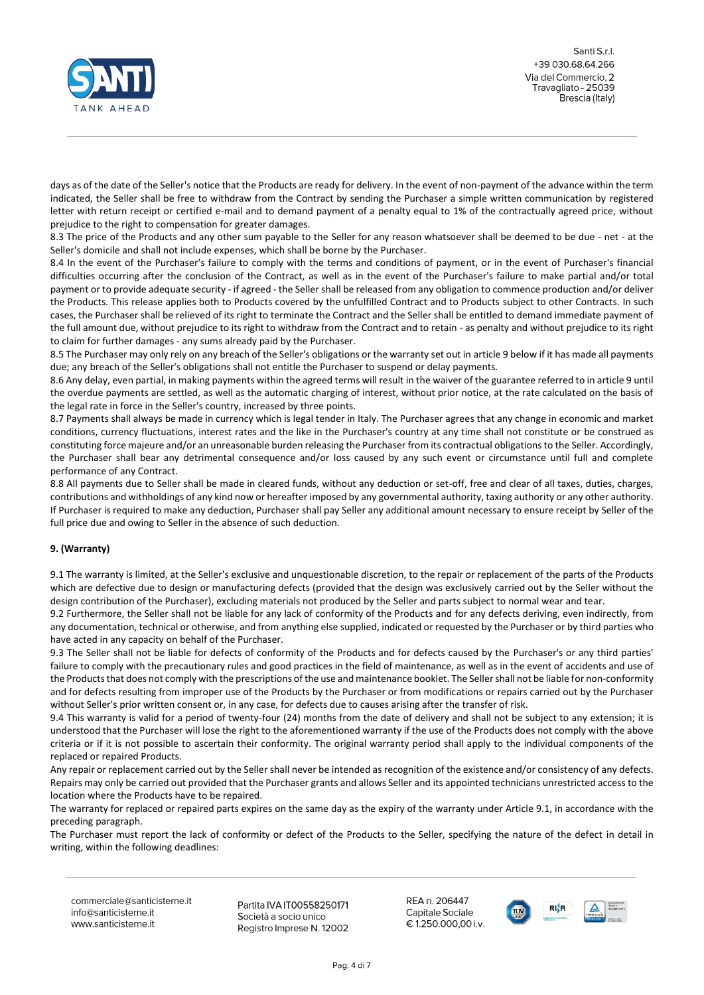

days as of the date of the Seller's notice that the Products are ready for delivery. In the event of non-payment of the advance within the term indicated, the Seller shall be free to withdraw from the Contract by sending the Purchaser a simple written communication by registered letter with return receipt or certified e-mail and to demand payment of a penalty equal to 1% of the contractually agreed price, without prejudice to the right to compensation for greater damages.

8.3 The price of the Products and any other sum payable to the Seller for any reason whatsoever shall be deemed to be due - net - at the Seller's domicile and shall not include expenses, which shall be borne by the Purchaser.

8.4 In the event of the Purchaser's failure to comply with the terms and conditions of payment, or in the event of Purchaser's financial difficulties occurring after the conclusion of the Contract, as well as in the event of the Purchaser's failure to make partial and/or total payment or to provide adequate security - if agreed - the Seller shall be released from any obligation to commence production and/or deliver the Products. This release applies both to Products covered by the unfulfilled Contract and to Products subject to other Contracts. In such cases, the Purchaser shall be relieved of its right to terminate the Contract and the Seller shall be entitled to demand immediate payment of the full amount due, without prejudice to its right to withdraw from the Contract and to retain - as penalty and without prejudice to its right to claim for further damages - any sums already paid by the Purchaser.

8.5 The Purchaser may only rely on any breach of the Seller's obligations or the warranty set out in article 9 below if it has made all payments due; any breach of the Seller's obligations shall not entitle the Purchaser to suspend or delay payments.

8.6 Any delay, even partial, in making payments within the agreed terms will result in the waiver of the guarantee referred to in article 9 until the overdue payments are settled, as well as the automatic charging of interest, without prior notice, at the rate calculated on the basis of the legal rate in force in the Seller's country, increased by three points.

8.7 Payments shall always be made in currency which is legal tender in Italy. The Purchaser agrees that any change in economic and market conditions, currency fluctuations, interest rates and the like in the Purchaser's country at any time shall not constitute or be construed as constituting force majeure and/or an unreasonable burden releasing the Purchaser from its contractual obligations to the Seller. Accordingly, the Purchaser shall bear any detrimental consequence and/or loss caused by any such event or circumstance until full and complete performance of any Contract.

8.8 All payments due to Seller shall be made in cleared funds, without any deduction or set-off, free and clear of all taxes, duties, charges, contributions and withholdings of any kind now or hereafter imposed by any governmental authority, taxing authority or any other authority. If Purchaser is required to make any deduction, Purchaser shall pay Seller any additional amount necessary to ensure receipt by Seller of the full price due and owing to Seller in the absence of such deduction.

# **9. (Warranty)**

9.1 The warranty is limited, at the Seller's exclusive and unquestionable discretion, to the repair or replacement of the parts of the Products which are defective due to design or manufacturing defects (provided that the design was exclusively carried out by the Seller without the design contribution of the Purchaser), excluding materials not produced by the Seller and parts subject to normal wear and tear.

9.2 Furthermore, the Seller shall not be liable for any lack of conformity of the Products and for any defects deriving, even indirectly, from any documentation, technical or otherwise, and from anything else supplied, indicated or requested by the Purchaser or by third parties who have acted in any capacity on behalf of the Purchaser.

9.3 The Seller shall not be liable for defects of conformity of the Products and for defects caused by the Purchaser's or any third parties' failure to comply with the precautionary rules and good practices in the field of maintenance, as well as in the event of accidents and use of the Products that does not comply with the prescriptions of the use and maintenance booklet. The Seller shall not be liable for non-conformity and for defects resulting from improper use of the Products by the Purchaser or from modifications or repairs carried out by the Purchaser without Seller's prior written consent or, in any case, for defects due to causes arising after the transfer of risk.

9.4 This warranty is valid for a period of twenty-four (24) months from the date of delivery and shall not be subject to any extension; it is understood that the Purchaser will lose the right to the aforementioned warranty if the use of the Products does not comply with the above criteria or if it is not possible to ascertain their conformity. The original warranty period shall apply to the individual components of the replaced or repaired Products.

Any repair or replacement carried out by the Seller shall never be intended as recognition of the existence and/or consistency of any defects. Repairs may only be carried out provided that the Purchaser grants and allows Seller and its appointed technicians unrestricted access to the location where the Products have to be repaired.

The warranty for replaced or repaired parts expires on the same day as the expiry of the warranty under Article 9.1, in accordance with the preceding paragraph.

The Purchaser must report the lack of conformity or defect of the Products to the Seller, specifying the nature of the defect in detail in writing, within the following deadlines:

commerciale@santicisterne.it info@santicisterne.it www.santicisterne.it

Partita IVA IT00558250171 Società a socio unico Registro Imprese N. 12002

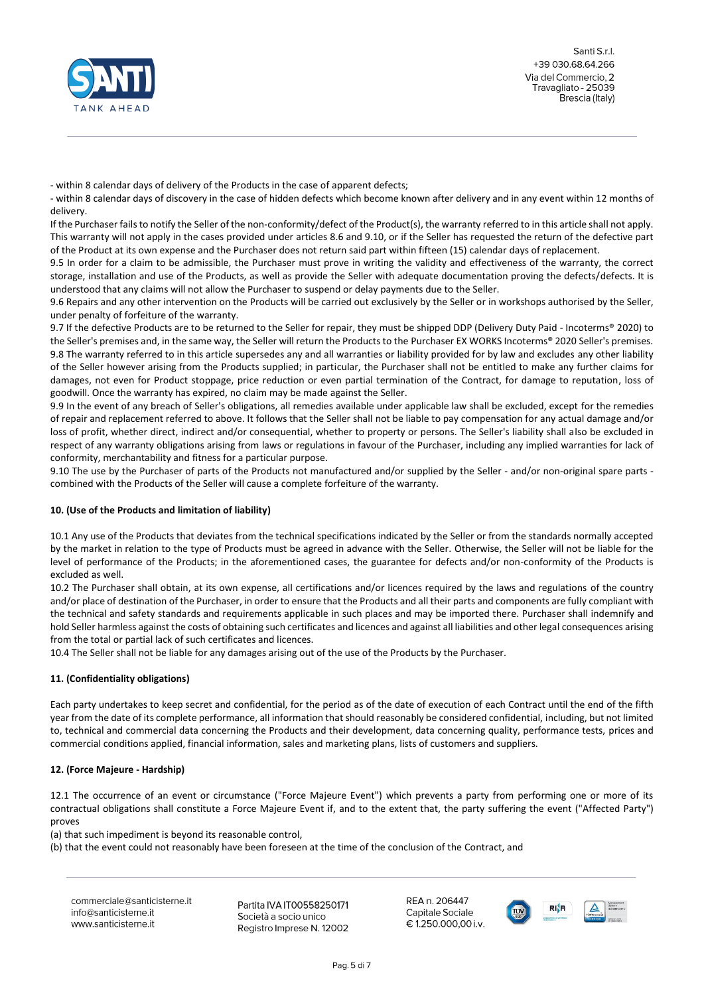

- within 8 calendar days of delivery of the Products in the case of apparent defects;

- within 8 calendar days of discovery in the case of hidden defects which become known after delivery and in any event within 12 months of delivery.

If the Purchaser fails to notify the Seller of the non-conformity/defect of the Product(s), the warranty referred to in this article shall not apply. This warranty will not apply in the cases provided under articles 8.6 and 9.10, or if the Seller has requested the return of the defective part of the Product at its own expense and the Purchaser does not return said part within fifteen (15) calendar days of replacement.

9.5 In order for a claim to be admissible, the Purchaser must prove in writing the validity and effectiveness of the warranty, the correct storage, installation and use of the Products, as well as provide the Seller with adequate documentation proving the defects/defects. It is understood that any claims will not allow the Purchaser to suspend or delay payments due to the Seller.

9.6 Repairs and any other intervention on the Products will be carried out exclusively by the Seller or in workshops authorised by the Seller, under penalty of forfeiture of the warranty.

9.7 If the defective Products are to be returned to the Seller for repair, they must be shipped DDP (Delivery Duty Paid - Incoterms® 2020) to the Seller's premises and, in the same way, the Seller will return the Products to the Purchaser EX WORKS Incoterms® 2020 Seller's premises. 9.8 The warranty referred to in this article supersedes any and all warranties or liability provided for by law and excludes any other liability of the Seller however arising from the Products supplied; in particular, the Purchaser shall not be entitled to make any further claims for damages, not even for Product stoppage, price reduction or even partial termination of the Contract, for damage to reputation, loss of goodwill. Once the warranty has expired, no claim may be made against the Seller.

9.9 In the event of any breach of Seller's obligations, all remedies available under applicable law shall be excluded, except for the remedies of repair and replacement referred to above. It follows that the Seller shall not be liable to pay compensation for any actual damage and/or loss of profit, whether direct, indirect and/or consequential, whether to property or persons. The Seller's liability shall also be excluded in respect of any warranty obligations arising from laws or regulations in favour of the Purchaser, including any implied warranties for lack of conformity, merchantability and fitness for a particular purpose.

9.10 The use by the Purchaser of parts of the Products not manufactured and/or supplied by the Seller - and/or non-original spare parts combined with the Products of the Seller will cause a complete forfeiture of the warranty.

# **10. (Use of the Products and limitation of liability)**

10.1 Any use of the Products that deviates from the technical specifications indicated by the Seller or from the standards normally accepted by the market in relation to the type of Products must be agreed in advance with the Seller. Otherwise, the Seller will not be liable for the level of performance of the Products; in the aforementioned cases, the guarantee for defects and/or non-conformity of the Products is excluded as well.

10.2 The Purchaser shall obtain, at its own expense, all certifications and/or licences required by the laws and regulations of the country and/or place of destination of the Purchaser, in order to ensure that the Products and all their parts and components are fully compliant with the technical and safety standards and requirements applicable in such places and may be imported there. Purchaser shall indemnify and hold Seller harmless against the costs of obtaining such certificates and licences and against all liabilities and other legal consequences arising from the total or partial lack of such certificates and licences.

10.4 The Seller shall not be liable for any damages arising out of the use of the Products by the Purchaser.

# **11. (Confidentiality obligations)**

Each party undertakes to keep secret and confidential, for the period as of the date of execution of each Contract until the end of the fifth year from the date of its complete performance, all information that should reasonably be considered confidential, including, but not limited to, technical and commercial data concerning the Products and their development, data concerning quality, performance tests, prices and commercial conditions applied, financial information, sales and marketing plans, lists of customers and suppliers.

# **12. (Force Majeure - Hardship)**

12.1 The occurrence of an event or circumstance ("Force Majeure Event") which prevents a party from performing one or more of its contractual obligations shall constitute a Force Majeure Event if, and to the extent that, the party suffering the event ("Affected Party") proves

(a) that such impediment is beyond its reasonable control,

(b) that the event could not reasonably have been foreseen at the time of the conclusion of the Contract, and

commerciale@santicisterne.it info@santicisterne.it www.santicisterne.it

Partita IVA IT00558250171 Società a socio unico Registro Imprese N. 12002

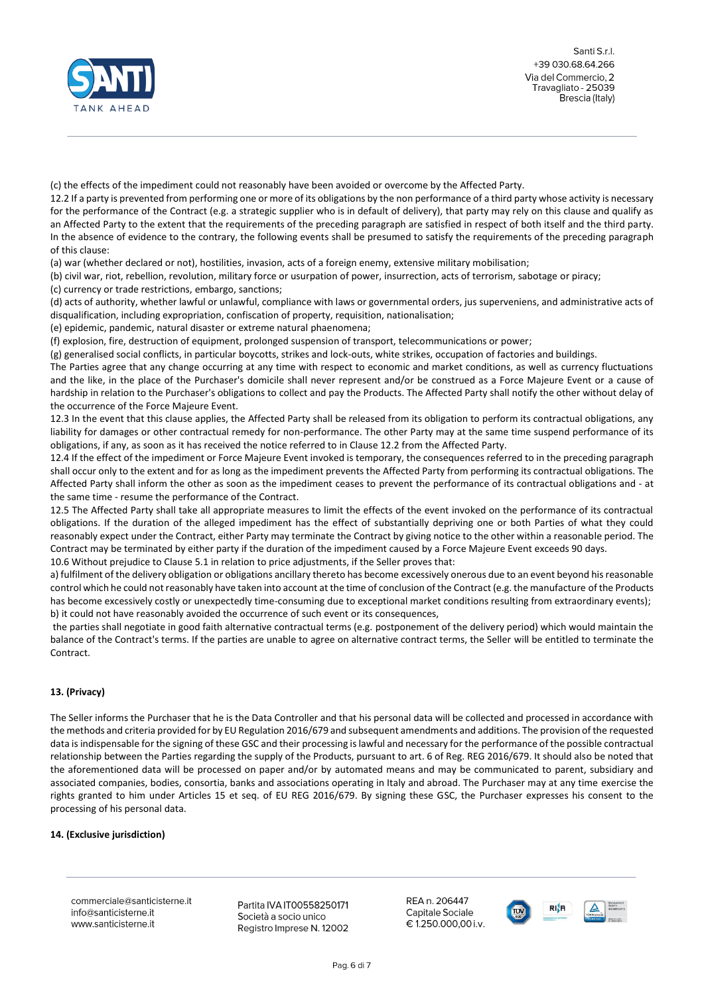

Santi Srl +39 030.68.64.266 Via del Commercio, 2 Travagliato - 25039 Brescia (Italy)

(c) the effects of the impediment could not reasonably have been avoided or overcome by the Affected Party.

12.2 If a party is prevented from performing one or more of its obligations by the non performance of a third party whose activity is necessary for the performance of the Contract (e.g. a strategic supplier who is in default of delivery), that party may rely on this clause and qualify as an Affected Party to the extent that the requirements of the preceding paragraph are satisfied in respect of both itself and the third party. In the absence of evidence to the contrary, the following events shall be presumed to satisfy the requirements of the preceding paragraph of this clause:

(a) war (whether declared or not), hostilities, invasion, acts of a foreign enemy, extensive military mobilisation;

(b) civil war, riot, rebellion, revolution, military force or usurpation of power, insurrection, acts of terrorism, sabotage or piracy;

(c) currency or trade restrictions, embargo, sanctions;

(d) acts of authority, whether lawful or unlawful, compliance with laws or governmental orders, jus superveniens, and administrative acts of disqualification, including expropriation, confiscation of property, requisition, nationalisation;

(e) epidemic, pandemic, natural disaster or extreme natural phaenomena;

(f) explosion, fire, destruction of equipment, prolonged suspension of transport, telecommunications or power;

(g) generalised social conflicts, in particular boycotts, strikes and lock-outs, white strikes, occupation of factories and buildings.

The Parties agree that any change occurring at any time with respect to economic and market conditions, as well as currency fluctuations and the like, in the place of the Purchaser's domicile shall never represent and/or be construed as a Force Majeure Event or a cause of hardship in relation to the Purchaser's obligations to collect and pay the Products. The Affected Party shall notify the other without delay of the occurrence of the Force Majeure Event.

12.3 In the event that this clause applies, the Affected Party shall be released from its obligation to perform its contractual obligations, any liability for damages or other contractual remedy for non-performance. The other Party may at the same time suspend performance of its obligations, if any, as soon as it has received the notice referred to in Clause 12.2 from the Affected Party.

12.4 If the effect of the impediment or Force Majeure Event invoked is temporary, the consequences referred to in the preceding paragraph shall occur only to the extent and for as long as the impediment prevents the Affected Party from performing its contractual obligations. The Affected Party shall inform the other as soon as the impediment ceases to prevent the performance of its contractual obligations and - at the same time - resume the performance of the Contract.

12.5 The Affected Party shall take all appropriate measures to limit the effects of the event invoked on the performance of its contractual obligations. If the duration of the alleged impediment has the effect of substantially depriving one or both Parties of what they could reasonably expect under the Contract, either Party may terminate the Contract by giving notice to the other within a reasonable period. The Contract may be terminated by either party if the duration of the impediment caused by a Force Majeure Event exceeds 90 days.

10.6 Without prejudice to Clause 5.1 in relation to price adjustments, if the Seller proves that:

a) fulfilment of the delivery obligation or obligations ancillary thereto has become excessively onerous due to an event beyond his reasonable control which he could not reasonably have taken into account at the time of conclusion of the Contract (e.g. the manufacture of the Products has become excessively costly or unexpectedly time-consuming due to exceptional market conditions resulting from extraordinary events); b) it could not have reasonably avoided the occurrence of such event or its consequences,

the parties shall negotiate in good faith alternative contractual terms (e.g. postponement of the delivery period) which would maintain the balance of the Contract's terms. If the parties are unable to agree on alternative contract terms, the Seller will be entitled to terminate the Contract.

# **13. (Privacy)**

The Seller informs the Purchaser that he is the Data Controller and that his personal data will be collected and processed in accordance with the methods and criteria provided for by EU Regulation 2016/679 and subsequent amendments and additions. The provision of the requested data is indispensable for the signing of these GSC and their processing is lawful and necessary for the performance of the possible contractual relationship between the Parties regarding the supply of the Products, pursuant to art. 6 of Reg. REG 2016/679. It should also be noted that the aforementioned data will be processed on paper and/or by automated means and may be communicated to parent, subsidiary and associated companies, bodies, consortia, banks and associations operating in Italy and abroad. The Purchaser may at any time exercise the rights granted to him under Articles 15 et seq. of EU REG 2016/679. By signing these GSC, the Purchaser expresses his consent to the processing of his personal data.

# **14. (Exclusive jurisdiction)**

commerciale@santicisterne.it info@santicisterne.it www.santicisterne.it

Partita IVA IT00558250171 Società a socio unico Registro Imprese N. 12002